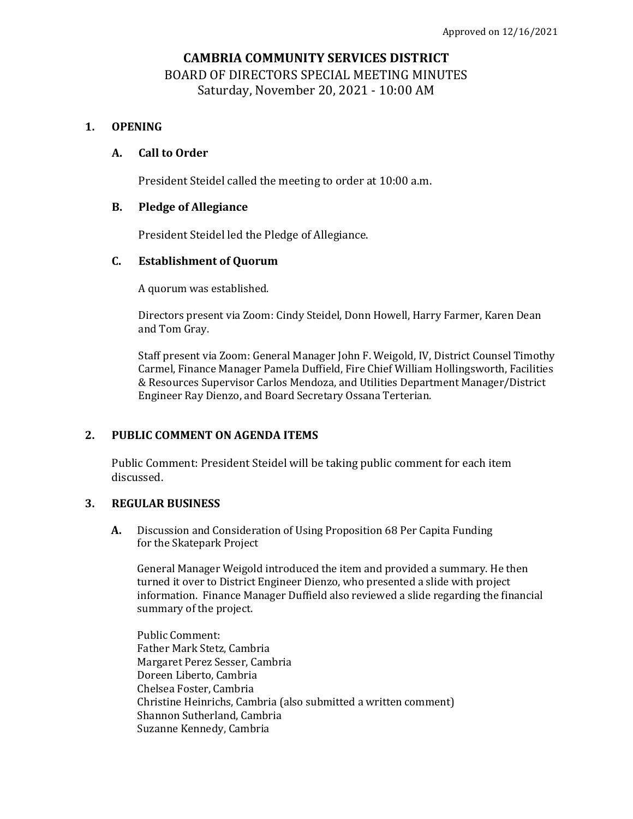# **CAMBRIA COMMUNITY SERVICES DISTRICT** BOARD OF DIRECTORS SPECIAL MEETING MINUTES Saturday, November 20, 2021 - 10:00 AM

## **1. OPENING**

### **A. Call to Order**

President Steidel called the meeting to order at 10:00 a.m.

### **B. Pledge of Allegiance**

President Steidel led the Pledge of Allegiance.

## **C. Establishment of Quorum**

A quorum was established.

Directors present via Zoom: Cindy Steidel, Donn Howell, Harry Farmer, Karen Dean and Tom Gray.

Staff present via Zoom: General Manager John F. Weigold, IV, District Counsel Timothy Carmel, Finance Manager Pamela Duffield, Fire Chief William Hollingsworth, Facilities & Resources Supervisor Carlos Mendoza, and Utilities Department Manager/District Engineer Ray Dienzo, and Board Secretary Ossana Terterian.

#### **2. PUBLIC COMMENT ON AGENDA ITEMS**

Public Comment: President Steidel will be taking public comment for each item discussed.

#### **3. REGULAR BUSINESS**

**A.** Discussion and Consideration of Using Proposition 68 Per Capita Funding for the Skatepark Project

General Manager Weigold introduced the item and provided a summary. He then turned it over to District Engineer Dienzo, who presented a slide with project information. Finance Manager Duffield also reviewed a slide regarding the financial summary of the project.

Public Comment: Father Mark Stetz, Cambria Margaret Perez Sesser, Cambria Doreen Liberto, Cambria Chelsea Foster, Cambria Christine Heinrichs, Cambria (also submitted a written comment) Shannon Sutherland, Cambria Suzanne Kennedy, Cambria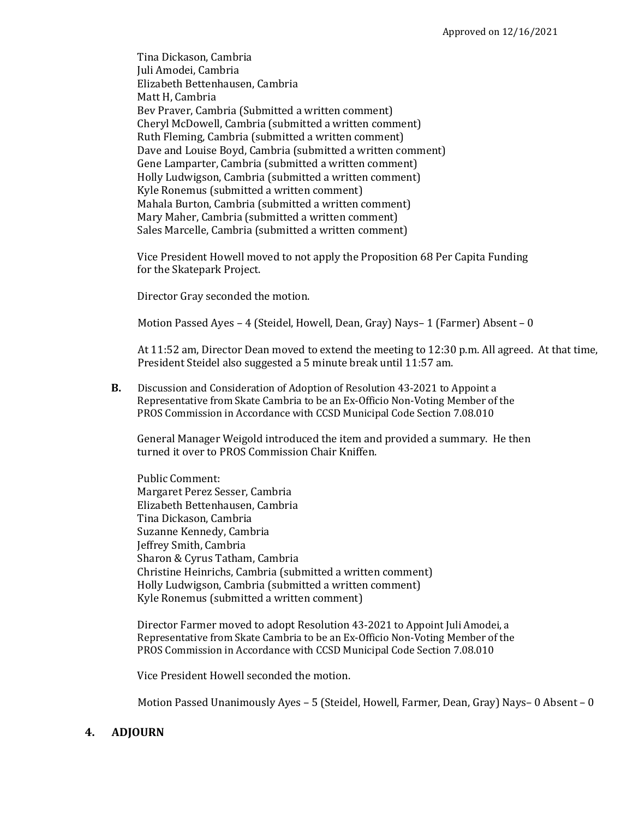Tina Dickason, Cambria Juli Amodei, Cambria Elizabeth Bettenhausen, Cambria Matt H, Cambria Bev Praver, Cambria (Submitted a written comment) Cheryl McDowell, Cambria (submitted a written comment) Ruth Fleming, Cambria (submitted a written comment) Dave and Louise Boyd, Cambria (submitted a written comment) Gene Lamparter, Cambria (submitted a written comment) Holly Ludwigson, Cambria (submitted a written comment) Kyle Ronemus (submitted a written comment) Mahala Burton, Cambria (submitted a written comment) Mary Maher, Cambria (submitted a written comment) Sales Marcelle, Cambria (submitted a written comment)

Vice President Howell moved to not apply the Proposition 68 Per Capita Funding for the Skatepark Project.

Director Gray seconded the motion.

Motion Passed Ayes – 4 (Steidel, Howell, Dean, Gray) Nays– 1 (Farmer) Absent – 0

At 11:52 am, Director Dean moved to extend the meeting to 12:30 p.m. All agreed. At that time, President Steidel also suggested a 5 minute break until 11:57 am.

**B.** Discussion and Consideration of Adoption of Resolution 43-2021 to Appoint a Representative from Skate Cambria to be an Ex-Officio Non-Voting Member of the PROS Commission in Accordance with CCSD Municipal Code Section 7.08.010

General Manager Weigold introduced the item and provided a summary. He then turned it over to PROS Commission Chair Kniffen.

Public Comment: Margaret Perez Sesser, Cambria Elizabeth Bettenhausen, Cambria Tina Dickason, Cambria Suzanne Kennedy, Cambria Jeffrey Smith, Cambria Sharon & Cyrus Tatham, Cambria Christine Heinrichs, Cambria (submitted a written comment) Holly Ludwigson, Cambria (submitted a written comment) Kyle Ronemus (submitted a written comment)

Director Farmer moved to adopt Resolution 43-2021 to Appoint Juli Amodei, a Representative from Skate Cambria to be an Ex-Officio Non-Voting Member of the PROS Commission in Accordance with CCSD Municipal Code Section 7.08.010

Vice President Howell seconded the motion.

Motion Passed Unanimously Ayes – 5 (Steidel, Howell, Farmer, Dean, Gray) Nays– 0 Absent – 0

## **4. ADJOURN**